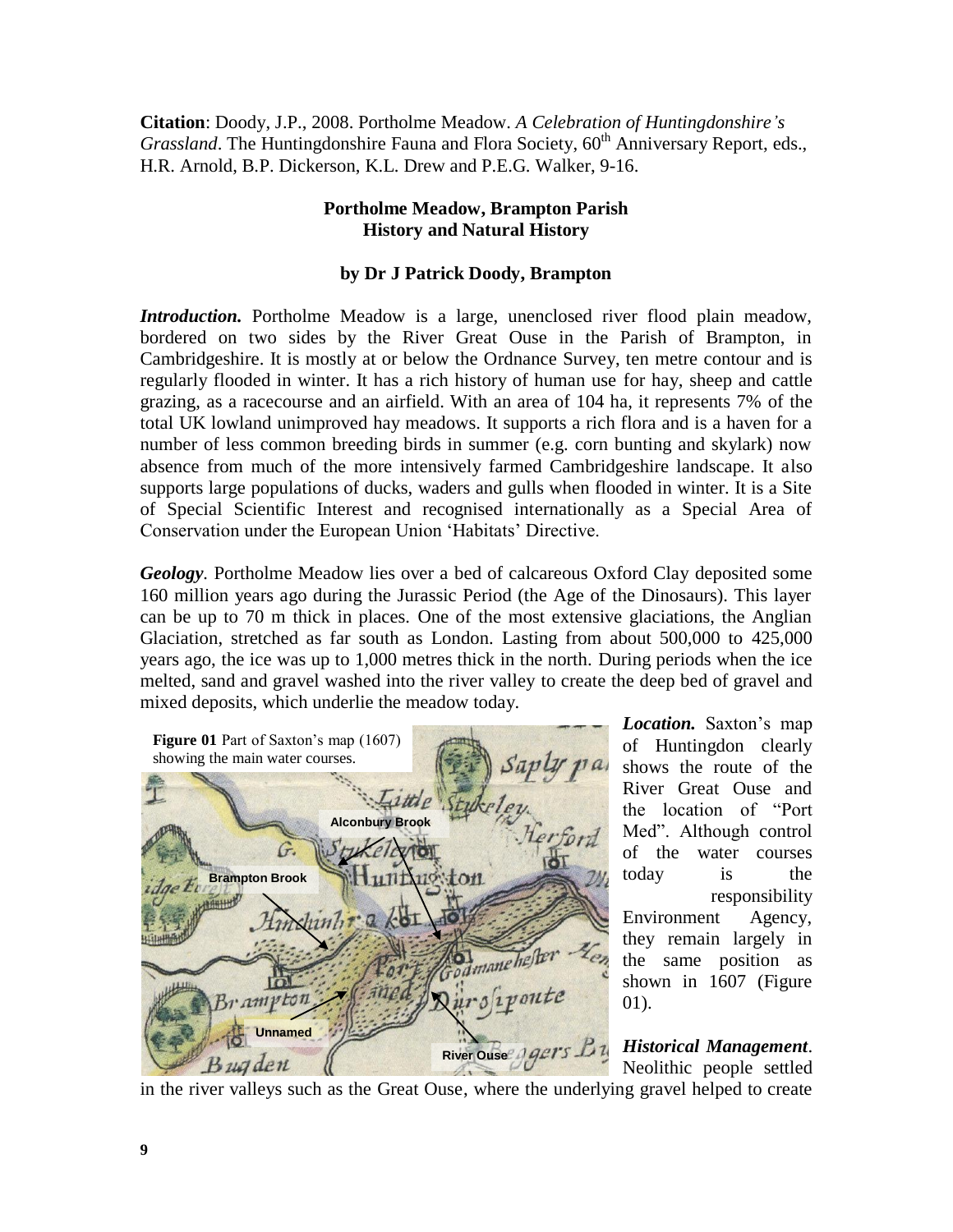**Citation**: Doody, J.P., 2008. Portholme Meadow. *A Celebration of Huntingdonshire's Grassland*. The Huntingdonshire Fauna and Flora Society, 60<sup>th</sup> Anniversary Report, eds., H.R. Arnold, B.P. Dickerson, K.L. Drew and P.E.G. Walker, 9-16.

## **Portholme Meadow, Brampton Parish History and Natural History**

## **by Dr J Patrick Doody, Brampton**

*Introduction.* Portholme Meadow is a large, unenclosed river flood plain meadow, bordered on two sides by the River Great Ouse in the Parish of Brampton, in Cambridgeshire. It is mostly at or below the Ordnance Survey, ten metre contour and is regularly flooded in winter. It has a rich history of human use for hay, sheep and cattle grazing, as a racecourse and an airfield. With an area of 104 ha, it represents 7% of the total UK lowland unimproved hay meadows. It supports a rich flora and is a haven for a number of less common breeding birds in summer (e.g. corn bunting and skylark) now absence from much of the more intensively farmed Cambridgeshire landscape. It also supports large populations of ducks, waders and gulls when flooded in winter. It is a Site of Special Scientific Interest and recognised internationally as a Special Area of Conservation under the European Union 'Habitats' Directive.

*Geology.* Portholme Meadow lies over a bed of calcareous Oxford Clay deposited some 160 million years ago during the Jurassic Period (the Age of the Dinosaurs). This layer can be up to 70 m thick in places. One of the most extensive glaciations, the Anglian Glaciation, stretched as far south as London. Lasting from about 500,000 to 425,000 years ago, the ice was up to 1,000 metres thick in the north. During periods when the ice melted, sand and gravel washed into the river valley to create the deep bed of gravel and mixed deposits, which underlie the meadow today.



*Location.* Saxton's map of Huntingdon clearly shows the route of the River Great Ouse and the location of "Port Med". Although control of the water courses today is the responsibility Environment Agency, they remain largely in the same position as shown in 1607 (Figure 01).

*Historical Management*. Neolithic people settled

in the river valleys such as the Great Ouse, where the underlying gravel helped to create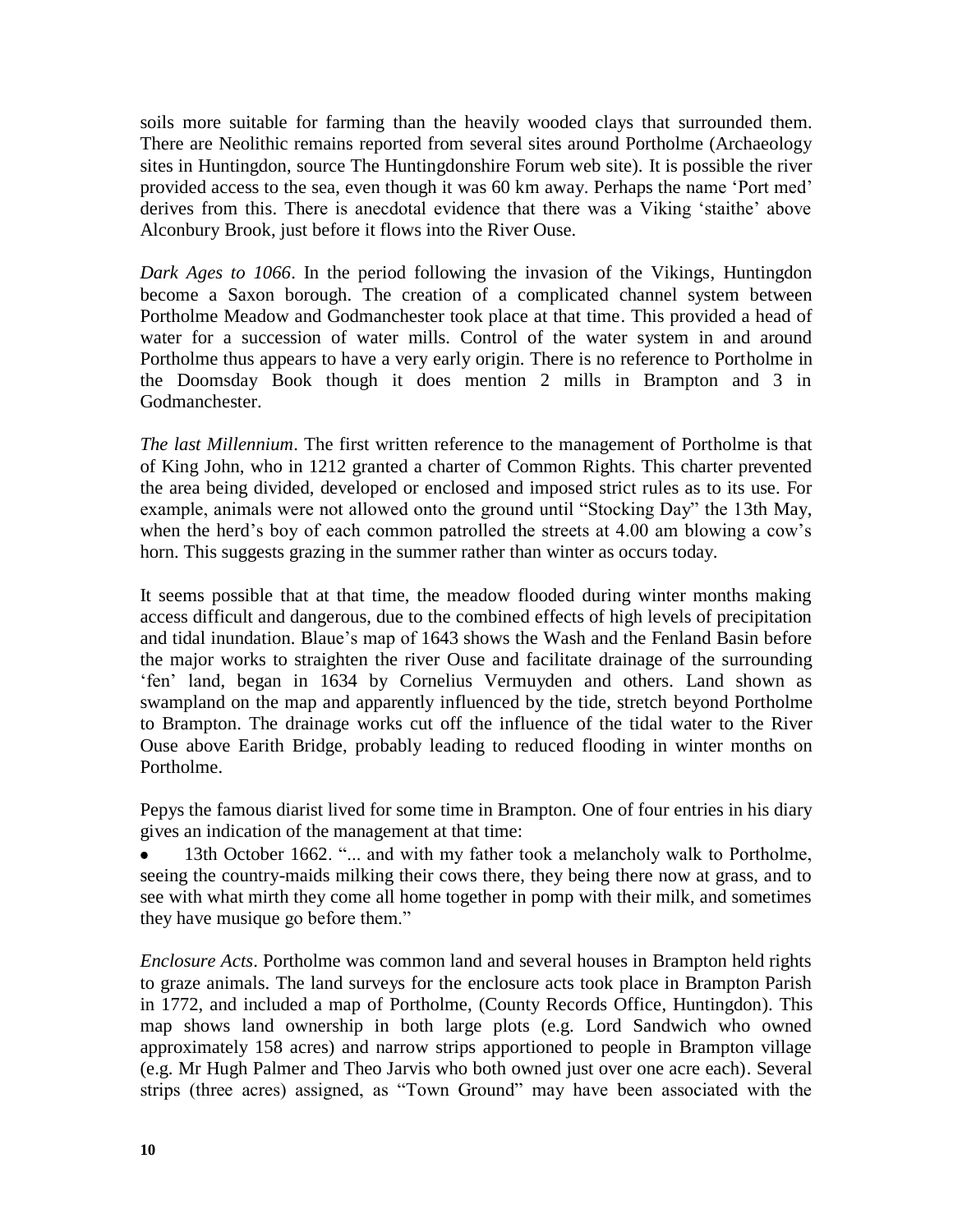soils more suitable for farming than the heavily wooded clays that surrounded them. There are Neolithic remains reported from several sites around Portholme (Archaeology sites in Huntingdon, source The Huntingdonshire Forum web site). It is possible the river provided access to the sea, even though it was 60 km away. Perhaps the name 'Port med' derives from this. There is anecdotal evidence that there was a Viking 'staithe' above Alconbury Brook, just before it flows into the River Ouse.

*Dark Ages to 1066*. In the period following the invasion of the Vikings, Huntingdon become a Saxon borough. The creation of a complicated channel system between Portholme Meadow and Godmanchester took place at that time. This provided a head of water for a succession of water mills. Control of the water system in and around Portholme thus appears to have a very early origin. There is no reference to Portholme in the Doomsday Book though it does mention 2 mills in Brampton and 3 in Godmanchester.

*The last Millennium*. The first written reference to the management of Portholme is that of King John, who in 1212 granted a charter of Common Rights. This charter prevented the area being divided, developed or enclosed and imposed strict rules as to its use. For example, animals were not allowed onto the ground until "Stocking Day" the 13th May, when the herd's boy of each common patrolled the streets at 4.00 am blowing a cow's horn. This suggests grazing in the summer rather than winter as occurs today.

It seems possible that at that time, the meadow flooded during winter months making access difficult and dangerous, due to the combined effects of high levels of precipitation and tidal inundation. Blaue's map of 1643 shows the Wash and the Fenland Basin before the major works to straighten the river Ouse and facilitate drainage of the surrounding 'fen' land, began in 1634 by Cornelius Vermuyden and others. Land shown as swampland on the map and apparently influenced by the tide, stretch beyond Portholme to Brampton. The drainage works cut off the influence of the tidal water to the River Ouse above Earith Bridge, probably leading to reduced flooding in winter months on Portholme.

Pepys the famous diarist lived for some time in Brampton. One of four entries in his diary gives an indication of the management at that time:

13th October 1662. "... and with my father took a melancholy walk to Portholme, seeing the country-maids milking their cows there, they being there now at grass, and to see with what mirth they come all home together in pomp with their milk, and sometimes they have musique go before them."

*Enclosure Acts*. Portholme was common land and several houses in Brampton held rights to graze animals. The land surveys for the enclosure acts took place in Brampton Parish in 1772, and included a map of Portholme, (County Records Office, Huntingdon). This map shows land ownership in both large plots (e.g. Lord Sandwich who owned approximately 158 acres) and narrow strips apportioned to people in Brampton village (e.g. Mr Hugh Palmer and Theo Jarvis who both owned just over one acre each). Several strips (three acres) assigned, as "Town Ground" may have been associated with the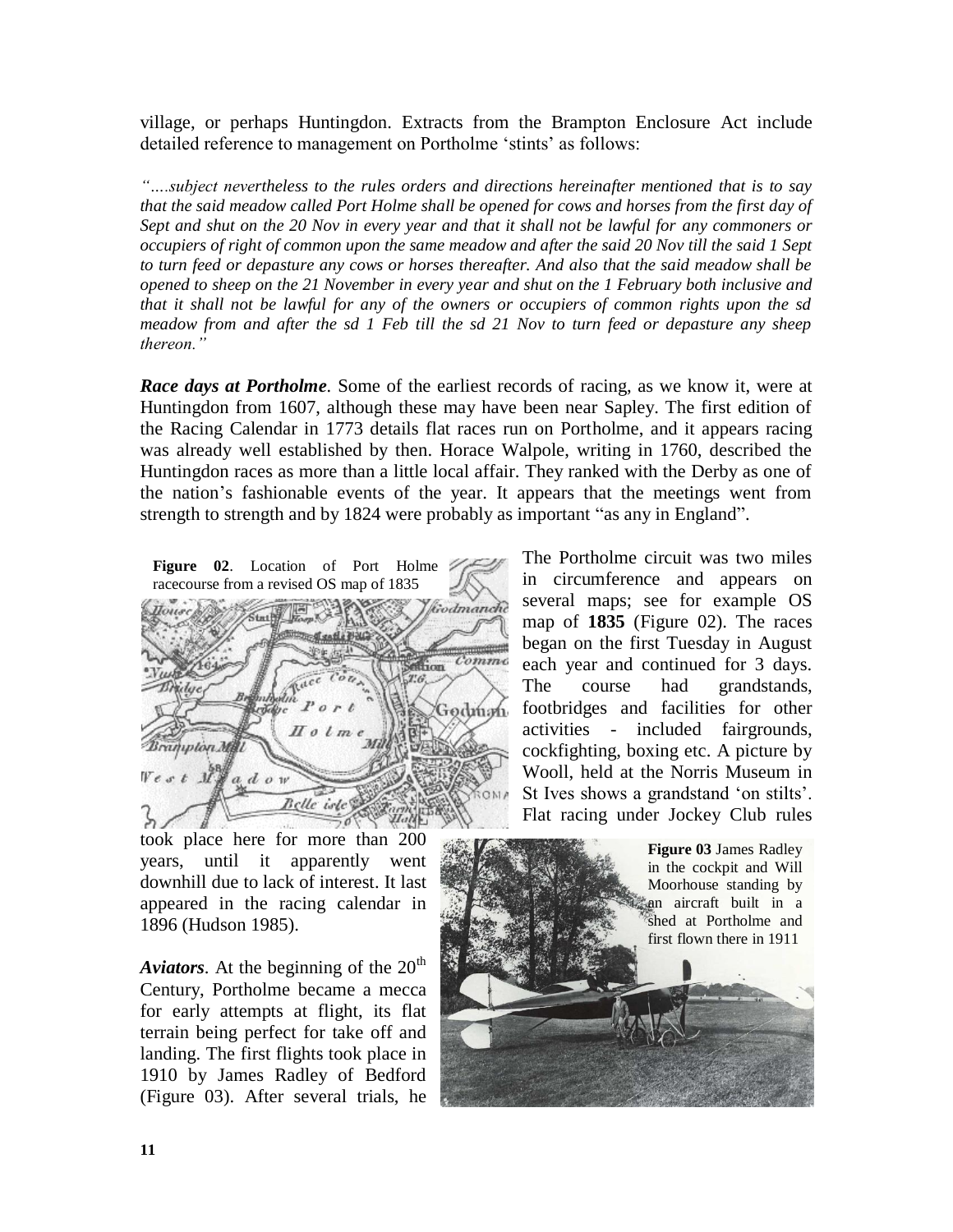village, or perhaps Huntingdon. Extracts from the Brampton Enclosure Act include detailed reference to management on Portholme 'stints' as follows:

*"….subject nevertheless to the rules orders and directions hereinafter mentioned that is to say that the said meadow called Port Holme shall be opened for cows and horses from the first day of Sept and shut on the 20 Nov in every year and that it shall not be lawful for any commoners or occupiers of right of common upon the same meadow and after the said 20 Nov till the said 1 Sept to turn feed or depasture any cows or horses thereafter. And also that the said meadow shall be opened to sheep on the 21 November in every year and shut on the 1 February both inclusive and that it shall not be lawful for any of the owners or occupiers of common rights upon the sd meadow from and after the sd 1 Feb till the sd 21 Nov to turn feed or depasture any sheep thereon."* 

*Race days at Portholme.* Some of the earliest records of racing, as we know it, were at Huntingdon from 1607, although these may have been near Sapley. The first edition of the Racing Calendar in 1773 details flat races run on Portholme, and it appears racing was already well established by then. Horace Walpole, writing in 1760, described the Huntingdon races as more than a little local affair. They ranked with the Derby as one of the nation's fashionable events of the year. It appears that the meetings went from strength to strength and by 1824 were probably as important "as any in England".

**Figure 02**. Location of Port Holme racecourse from a revised OS map of 1835



took place here for more than 200 years, until it apparently went downhill due to lack of interest. It last appeared in the racing calendar in 1896 (Hudson 1985).

*Aviators*. At the beginning of the  $20<sup>th</sup>$ Century, Portholme became a mecca for early attempts at flight, its flat terrain being perfect for take off and landing. The first flights took place in 1910 by James Radley of Bedford (Figure 03). After several trials, he The Portholme circuit was two miles in circumference and appears on several maps; see for example OS map of **1835** (Figure 02). The races began on the first Tuesday in August each year and continued for 3 days. The course had grandstands, footbridges and facilities for other activities - included fairgrounds, cockfighting, boxing etc. A picture by Wooll, held at the Norris Museum in St Ives shows a grandstand 'on stilts'. Flat racing under Jockey Club rules

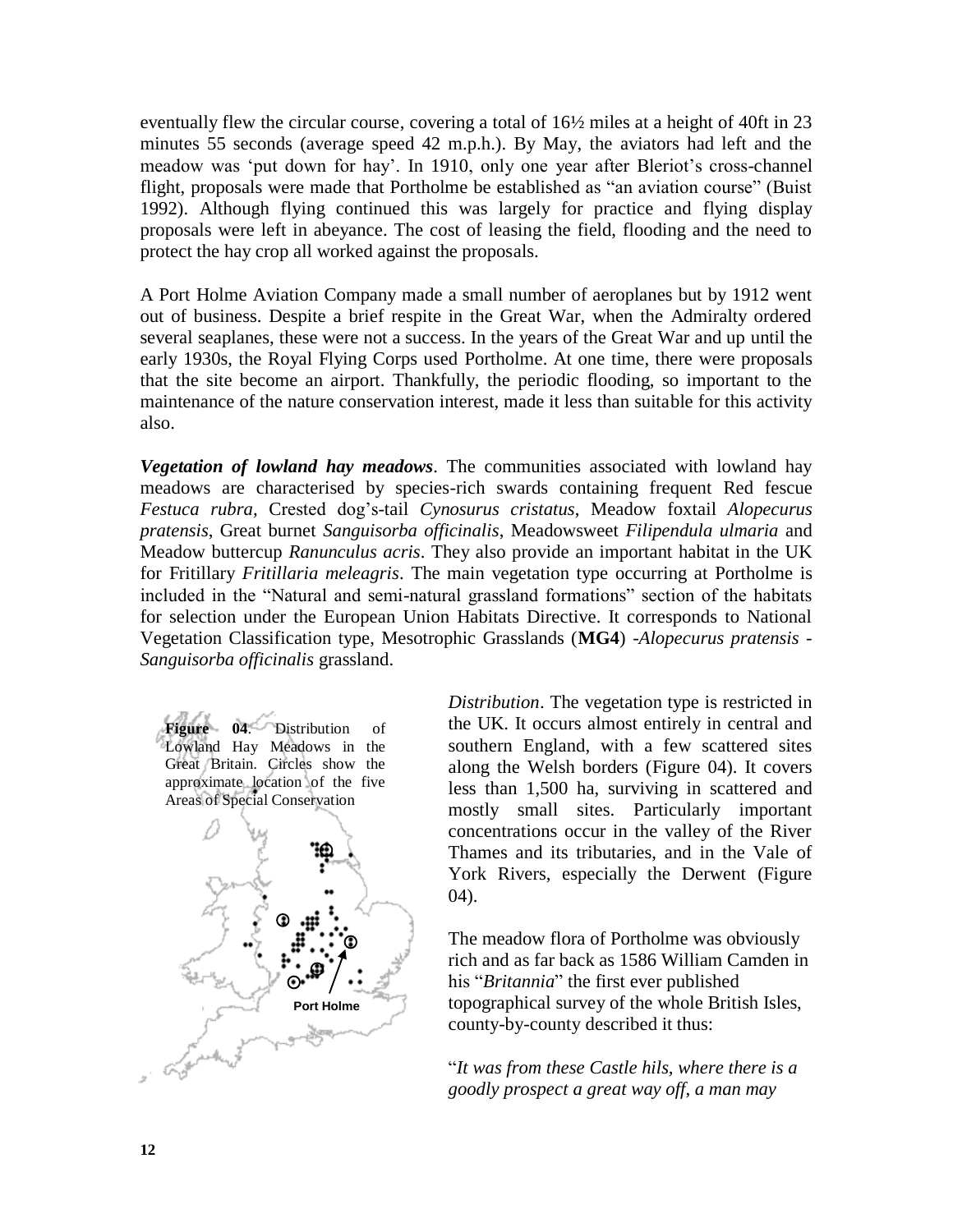eventually flew the circular course, covering a total of 16½ miles at a height of 40ft in 23 minutes 55 seconds (average speed 42 m.p.h.). By May, the aviators had left and the meadow was 'put down for hay'. In 1910, only one year after Bleriot's cross-channel flight, proposals were made that Portholme be established as "an aviation course" (Buist 1992). Although flying continued this was largely for practice and flying display proposals were left in abeyance. The cost of leasing the field, flooding and the need to protect the hay crop all worked against the proposals.

A Port Holme Aviation Company made a small number of aeroplanes but by 1912 went out of business. Despite a brief respite in the Great War, when the Admiralty ordered several seaplanes, these were not a success. In the years of the Great War and up until the early 1930s, the Royal Flying Corps used Portholme. At one time, there were proposals that the site become an airport. Thankfully, the periodic flooding, so important to the maintenance of the nature conservation interest, made it less than suitable for this activity also.

*Vegetation of lowland hay meadows*. The communities associated with lowland hay meadows are characterised by species-rich swards containing frequent Red fescue *Festuca rubra*, Crested dog's-tail *Cynosurus cristatus*, Meadow foxtail *Alopecurus pratensis*, Great burnet *Sanguisorba officinalis*, Meadowsweet *Filipendula ulmaria* and Meadow buttercup *Ranunculus acris*. They also provide an important habitat in the UK for Fritillary *Fritillaria meleagris*. The main vegetation type occurring at Portholme is included in the "Natural and semi-natural grassland formations" section of the habitats for selection under the European Union Habitats Directive. It corresponds to National Vegetation Classification type, Mesotrophic Grasslands (**MG4**) -*Alopecurus pratensis - Sanguisorba officinalis* grassland.



*Distribution*. The vegetation type is restricted in the UK. It occurs almost entirely in central and southern England, with a few scattered sites along the Welsh borders (Figure 04). It covers less than 1,500 ha, surviving in scattered and mostly small sites. Particularly important concentrations occur in the valley of the River Thames and its tributaries, and in the Vale of York Rivers, especially the Derwent (Figure 04).

The meadow flora of Portholme was obviously rich and as far back as 1586 William Camden in his "*Britannia*" the first ever published topographical survey of the whole British Isles, county-by-county described it thus:

"*It was from these Castle hils, where there is a goodly prospect a great way off, a man may*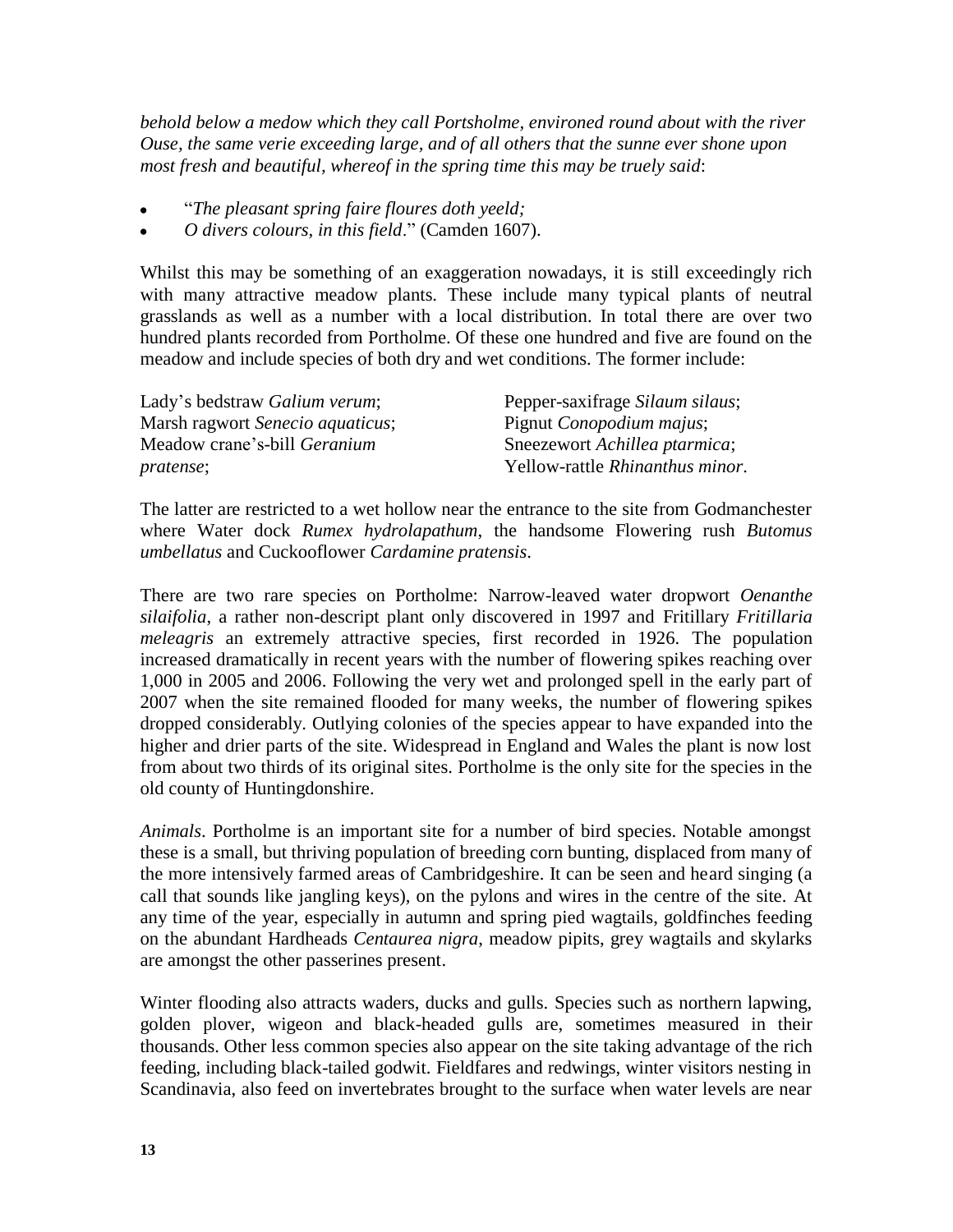*behold below a medow which they call Portsholme, environed round about with the river Ouse, the same verie exceeding large, and of all others that the sunne ever shone upon most fresh and beautiful, whereof in the spring time this may be truely said*:

- "*The pleasant spring faire floures doth yeeld;*
- *O divers colours, in this field*." (Camden 1607).

Whilst this may be something of an exaggeration nowadays, it is still exceedingly rich with many attractive meadow plants. These include many typical plants of neutral grasslands as well as a number with a local distribution. In total there are over two hundred plants recorded from Portholme. Of these one hundred and five are found on the meadow and include species of both dry and wet conditions. The former include:

| Lady's bedstraw Galium verum;       | Pepper-saxifrage Silaum silaus;  |
|-------------------------------------|----------------------------------|
| Marsh ragwort Senecio aquaticus;    | Pignut <i>Conopodium majus</i> ; |
| Meadow crane's-bill <i>Geranium</i> | Sneezewort Achillea ptarmica;    |
| <i>pratense</i> ;                   | Yellow-rattle Rhinanthus minor.  |

The latter are restricted to a wet hollow near the entrance to the site from Godmanchester where Water dock *Rumex hydrolapathum*, the handsome Flowering rush *Butomus umbellatus* and Cuckooflower *Cardamine pratensis*.

There are two rare species on Portholme: Narrow-leaved water dropwort *Oenanthe silaifolia*, a rather non-descript plant only discovered in 1997 and Fritillary *Fritillaria meleagris* an extremely attractive species, first recorded in 1926. The population increased dramatically in recent years with the number of flowering spikes reaching over 1,000 in 2005 and 2006. Following the very wet and prolonged spell in the early part of 2007 when the site remained flooded for many weeks, the number of flowering spikes dropped considerably. Outlying colonies of the species appear to have expanded into the higher and drier parts of the site. Widespread in England and Wales the plant is now lost from about two thirds of its original sites. Portholme is the only site for the species in the old county of Huntingdonshire.

*Animals*. Portholme is an important site for a number of bird species. Notable amongst these is a small, but thriving population of breeding corn bunting, displaced from many of the more intensively farmed areas of Cambridgeshire. It can be seen and heard singing (a call that sounds like jangling keys), on the pylons and wires in the centre of the site. At any time of the year, especially in autumn and spring pied wagtails, goldfinches feeding on the abundant Hardheads *Centaurea nigra*, meadow pipits, grey wagtails and skylarks are amongst the other passerines present.

Winter flooding also attracts waders, ducks and gulls. Species such as northern lapwing, golden plover, wigeon and black-headed gulls are, sometimes measured in their thousands. Other less common species also appear on the site taking advantage of the rich feeding, including black-tailed godwit. Fieldfares and redwings, winter visitors nesting in Scandinavia, also feed on invertebrates brought to the surface when water levels are near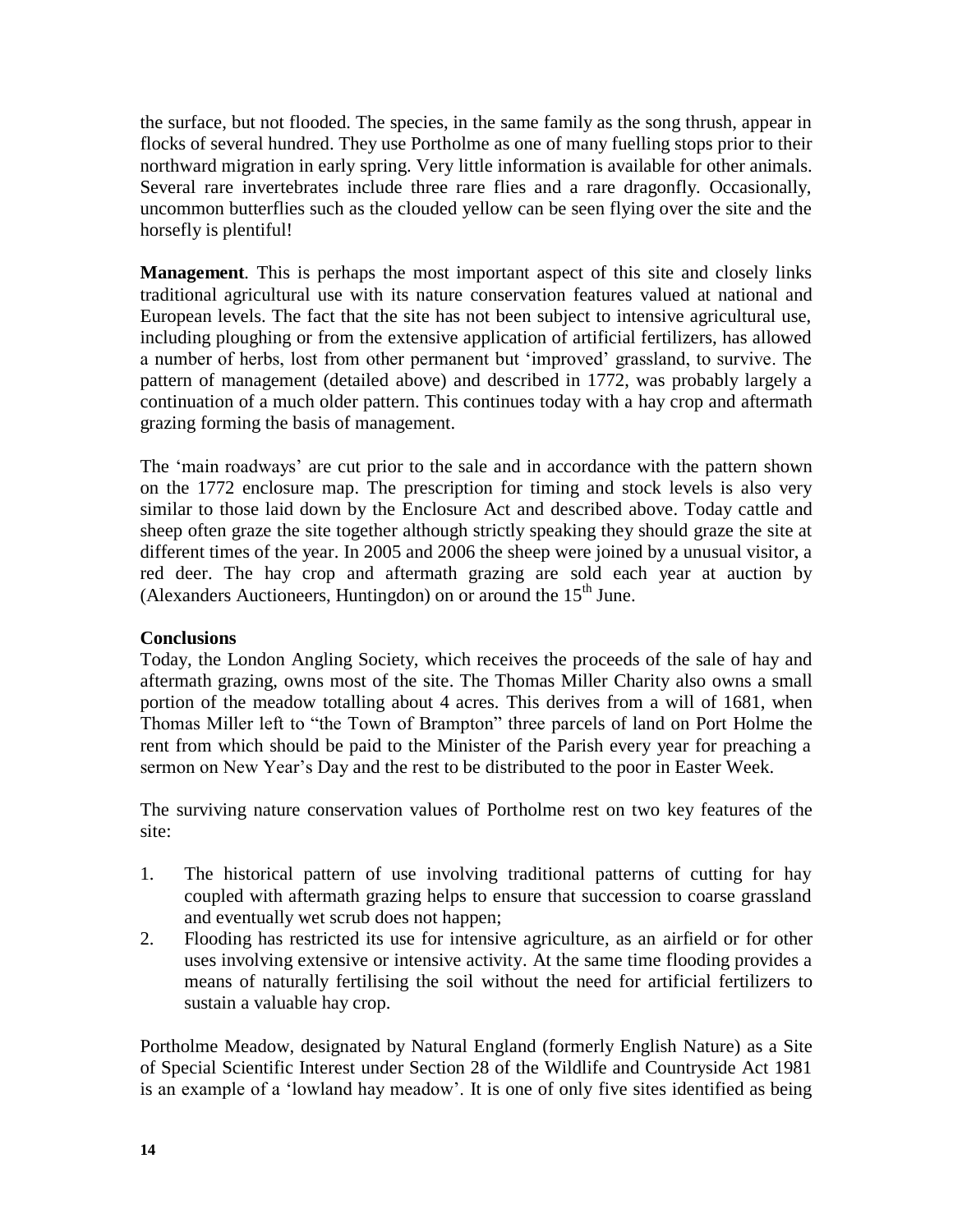the surface, but not flooded. The species, in the same family as the song thrush, appear in flocks of several hundred. They use Portholme as one of many fuelling stops prior to their northward migration in early spring. Very little information is available for other animals. Several rare invertebrates include three rare flies and a rare dragonfly. Occasionally, uncommon butterflies such as the clouded yellow can be seen flying over the site and the horsefly is plentiful!

**Management***.* This is perhaps the most important aspect of this site and closely links traditional agricultural use with its nature conservation features valued at national and European levels. The fact that the site has not been subject to intensive agricultural use, including ploughing or from the extensive application of artificial fertilizers, has allowed a number of herbs, lost from other permanent but 'improved' grassland, to survive. The pattern of management (detailed above) and described in 1772, was probably largely a continuation of a much older pattern. This continues today with a hay crop and aftermath grazing forming the basis of management.

The 'main roadways' are cut prior to the sale and in accordance with the pattern shown on the 1772 enclosure map. The prescription for timing and stock levels is also very similar to those laid down by the Enclosure Act and described above. Today cattle and sheep often graze the site together although strictly speaking they should graze the site at different times of the year. In 2005 and 2006 the sheep were joined by a unusual visitor, a red deer. The hay crop and aftermath grazing are sold each year at auction by (Alexanders Auctioneers, Huntingdon) on or around the  $15<sup>th</sup>$  June.

## **Conclusions**

Today, the London Angling Society, which receives the proceeds of the sale of hay and aftermath grazing, owns most of the site. The Thomas Miller Charity also owns a small portion of the meadow totalling about 4 acres. This derives from a will of 1681, when Thomas Miller left to "the Town of Brampton" three parcels of land on Port Holme the rent from which should be paid to the Minister of the Parish every year for preaching a sermon on New Year's Day and the rest to be distributed to the poor in Easter Week.

The surviving nature conservation values of Portholme rest on two key features of the site:

- 1. The historical pattern of use involving traditional patterns of cutting for hay coupled with aftermath grazing helps to ensure that succession to coarse grassland and eventually wet scrub does not happen;
- 2. Flooding has restricted its use for intensive agriculture, as an airfield or for other uses involving extensive or intensive activity. At the same time flooding provides a means of naturally fertilising the soil without the need for artificial fertilizers to sustain a valuable hay crop.

Portholme Meadow, designated by Natural England (formerly English Nature) as a Site of Special Scientific Interest under Section 28 of the Wildlife and Countryside Act 1981 is an example of a 'lowland hay meadow'. It is one of only five sites identified as being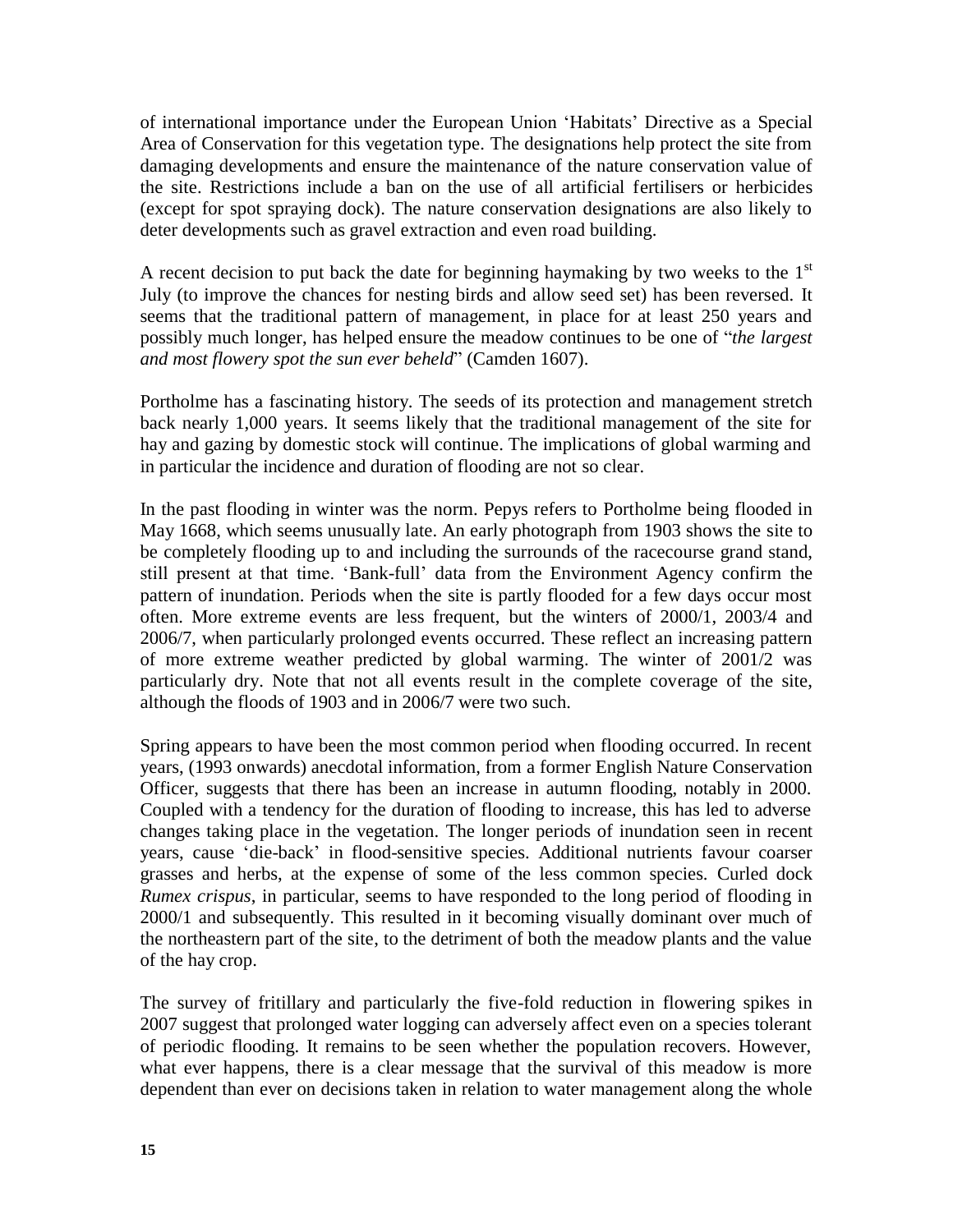of international importance under the European Union 'Habitats' Directive as a Special Area of Conservation for this vegetation type. The designations help protect the site from damaging developments and ensure the maintenance of the nature conservation value of the site. Restrictions include a ban on the use of all artificial fertilisers or herbicides (except for spot spraying dock). The nature conservation designations are also likely to deter developments such as gravel extraction and even road building.

A recent decision to put back the date for beginning haymaking by two weeks to the  $1<sup>st</sup>$ July (to improve the chances for nesting birds and allow seed set) has been reversed. It seems that the traditional pattern of management, in place for at least 250 years and possibly much longer, has helped ensure the meadow continues to be one of "*the largest and most flowery spot the sun ever beheld*" (Camden 1607).

Portholme has a fascinating history. The seeds of its protection and management stretch back nearly 1,000 years. It seems likely that the traditional management of the site for hay and gazing by domestic stock will continue. The implications of global warming and in particular the incidence and duration of flooding are not so clear.

In the past flooding in winter was the norm. Pepys refers to Portholme being flooded in May 1668, which seems unusually late. An early photograph from 1903 shows the site to be completely flooding up to and including the surrounds of the racecourse grand stand, still present at that time. 'Bank-full' data from the Environment Agency confirm the pattern of inundation. Periods when the site is partly flooded for a few days occur most often. More extreme events are less frequent, but the winters of 2000/1, 2003/4 and 2006/7, when particularly prolonged events occurred. These reflect an increasing pattern of more extreme weather predicted by global warming. The winter of 2001/2 was particularly dry. Note that not all events result in the complete coverage of the site, although the floods of 1903 and in 2006/7 were two such.

Spring appears to have been the most common period when flooding occurred. In recent years, (1993 onwards) anecdotal information, from a former English Nature Conservation Officer, suggests that there has been an increase in autumn flooding, notably in 2000. Coupled with a tendency for the duration of flooding to increase, this has led to adverse changes taking place in the vegetation. The longer periods of inundation seen in recent years, cause 'die-back' in flood-sensitive species. Additional nutrients favour coarser grasses and herbs, at the expense of some of the less common species. Curled dock *Rumex crispus*, in particular, seems to have responded to the long period of flooding in 2000/1 and subsequently. This resulted in it becoming visually dominant over much of the northeastern part of the site, to the detriment of both the meadow plants and the value of the hay crop.

The survey of fritillary and particularly the five-fold reduction in flowering spikes in 2007 suggest that prolonged water logging can adversely affect even on a species tolerant of periodic flooding. It remains to be seen whether the population recovers. However, what ever happens, there is a clear message that the survival of this meadow is more dependent than ever on decisions taken in relation to water management along the whole